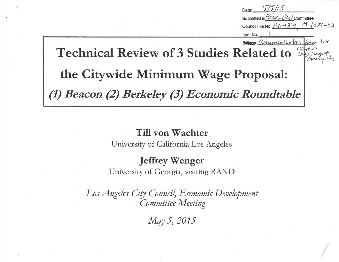Date: 5/5/15 Submitted in *ECOA-O2V*-Committee<br>Council File No:  $/4$ -1371 (<sup>14</sup>-1371-52 Council File No:  $14 - 137/$ Item No.: Been Communication Technical Review of 3 Studies Related to the Citywide Minimum Wage Proposal: (1) Beacon (2) Berkeley (3) Economic Roundtable

#### Till von Wachter

University of California Los Angeles

### Jeffrey Wenger

University of Georgia, visiting RAND

Los Angeles City Council, Economic Development Committee Meeting

May 5, 2015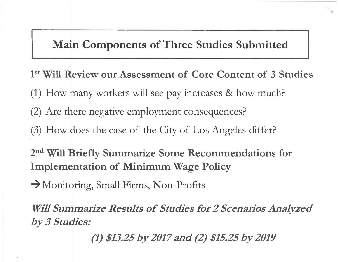Main Components of Three Studies Submitted

1st Will Review our Assessment of Core Content of 3 Studies (1) How many workers will see pay increases & how much? (2) Are there negative employment consequences? (3) How does the case of the City of Los Angeles differ? 2nd Will Briefly Summarize Some Recommendations for Implementation of Minimum Wage Policy

 $\rightarrow$  Monitoring, Small Firms, Non-Profits

Will Summarize Results of Studies for 2 Scenarios Analyzed by 3 Studies:

(1) \$13.25 by 2017 and (2) \$15.25 by 2019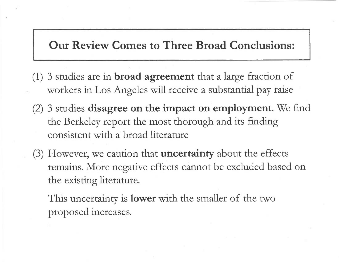Our Review Comes to Three Broad Conclusions:

- $(1)$  3 studies are in **broad agreement** that a large fraction of workers in Los Angeles will receive a substantial pay raise
- (2) 3 studies disagree on the impact on employment. We find the Berkeley report the most thorough and its finding consistent with a broad literature
- (3) However, we caution that uncertainty about the effects remains. More negative effects cannot be excluded based on the existing literature.

This uncertainty is **lower** with the smaller of the two proposed increases.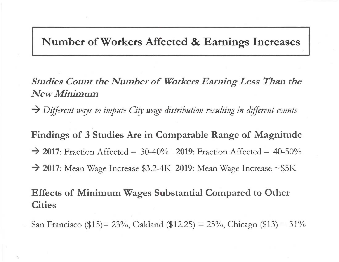### Number of Workers Affected & Earnings Increases

Studies Count the Number of Workers Earning Less Than the New Minimum

 $\rightarrow$  Different ways to impute City wage distribution resulting in different counts

Findings of 3 Studies Are in Comparable Range of Magnitude  $\rightarrow$  2017: Fraction Affected – 30-40% 2019: Fraction Affected – 40-50%  $\rightarrow$  2017: Mean Wage Increase \$3.2-4K 2019: Mean Wage Increase ~\$5K

Effects of Minimum Wages Substantial Compared to Other **Cities** 

San Francisco (\$15)= 23%, Oakland (\$12.25) = 25%, Chicago (\$13) = 31%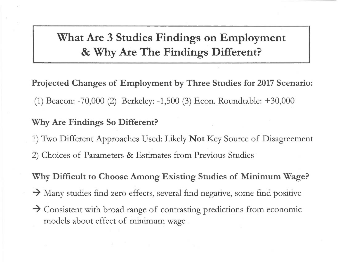What Are 3 Studies Findings on Employment & Why Are The Findings Different?

Projected Changes of Employment by Three Studies for 2017 Scenario: (1) Beacon: -70,000 (2) Berkeley: -1,500 (3) Econ. Roundtable: +30,000

#### Why Are Findings So Different?

1) Two Different Approaches Used: Likely Not Key Source of Disagreement 2) Choices of Parameters & Estimates from Previous Studies

Why Difficult to Choose Among Existing Studies of Minimum Wage?

 $\rightarrow$  Many studies find zero effects, several find negative, some find positive

 $\rightarrow$  Consistent with broad range of contrasting predictions from economic models about effect of minimum wage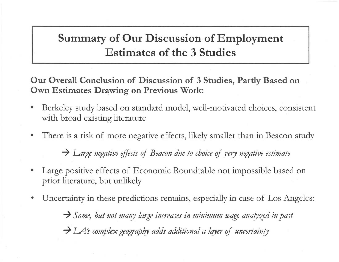# Summary of Our Discussion of Employment Estimates of the 3 Studies

Our Overall Conclusion of Discussion of 3 Studies, Partly Based on Own Estimates Drawing on Previous Work:

- Berkeley study based on standard model, well-motivated choices, consistent with broad existing literature
- There is a risk of more negative effects, likely smaller than in Beacon study

 $\rightarrow$  Large negative effects of Beacon due to choice of very negative estimate

- Large positive effects of Economic Roundtable not impossible based on prior literature, but unlikely
- Uncertainty in these predictions remains, especially in case of Los Angeles:  $\rightarrow$  Some, but not many large increases in minimum wage analyzed in past  $\rightarrow$  LA's complex geography adds additional a layer of uncertainty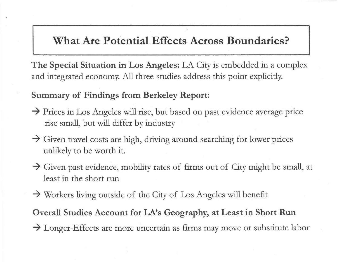# What Are Potential Effects Across Boundaries?

The Special Situation in Los Angeles: LA City is embedded in a complex and integrated economy. All three studies address this point explicitly.

Summary of Findings from Berkeley Report:

- $\rightarrow$  Prices in Los Angeles will rise, but based on past evidence average price rise small, but will differ by industry
- $\rightarrow$  Given travel costs are high, driving around searching for lower prices unlikely to be worth it.
- $\rightarrow$  Given past evidence, mobility rates of firms out of City might be small, at least in the short run
- $\rightarrow$  Workers living outside of the City of Los Angeles will benefit

Overall Studies Account for LA's Geography, at Least in Short Run  $\rightarrow$  Longer-Effects are more uncertain as firms may move or substitute labor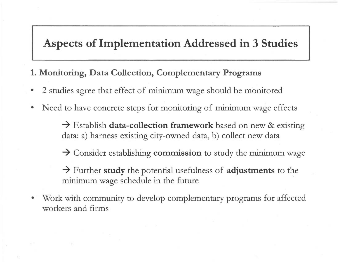## Aspects of Implementation Addressed in 3 Studies

#### 1. Monitoring, Data Collection, Complementary Programs

- 2 studies agree that effect of minimum wage should be monitored
- Need to have concrete steps for monitoring of minimum wage effects

 $\rightarrow$  Establish data-collection framework based on new & existing data: a) harness existing city-owned data, b) collect new data

 $\rightarrow$  Consider establishing **commission** to study the minimum wage

 $\rightarrow$  Further study the potential usefulness of adjustments to the minimum wage schedule in the future

Work with community to develop complementary programs for affected workers and firms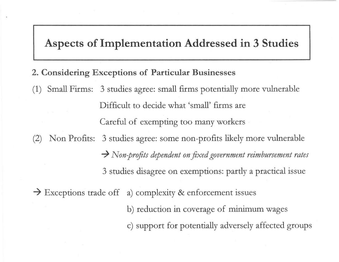## Aspects of Implementation Addressed in 3 Studies

- 2. Considering Exceptions of Particular Businesses
- (1) Small Firms: 3 studies agree: small firms potentially more vulnerable Difficult to decide what 'small' firms are Careful of exempting too many workers (2) Non Profits: 3 studies agree: some non-profits likely more vulnerable

 $\rightarrow$  Non-profits dependent on fixed government reimbursement rates 3 studies disagree on exemptions: partly a practical issue

 $\rightarrow$  Exceptions trade off a) complexity & enforcement issues

b) reduction in coverage of minimum wages c) support for potentially adversely affected groups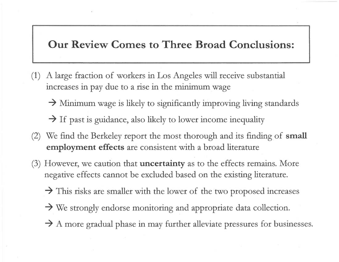### Our Review Comes to Three Broad Conclusions:

- (1) A large fraction of workers in Los Angeles will receive substantial increases in pay due to a rise in the minimum wage
	- $\rightarrow$  Minimum wage is likely to significantly improving living standards

 $\rightarrow$  If past is guidance, also likely to lower income inequality

- (2) We find the Berkeley report the most thorough and its finding of small employment effects are consistent with a broad literature
- (3) However, we caution that **uncertainty** as to the effects remains. More negative effects cannot be excluded based on the existing literature.
	- $\rightarrow$  This risks are smaller with the lower of the two proposed increases
	- $\rightarrow$  We strongly endorse monitoring and appropriate data collection.
	- $\rightarrow$  A more gradual phase in may further alleviate pressures for businesses.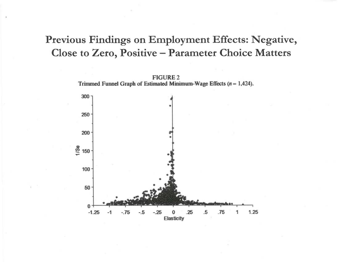# Previous Findings on Employment Effects: Negative, Close to Zero, Positive - Parameter Choice Matters



-.75 -.5 -.25 0 .25 **Elasticity** 

 $\Omega$  $-1.25$ 

 $-1$ 

.5 .75 1.25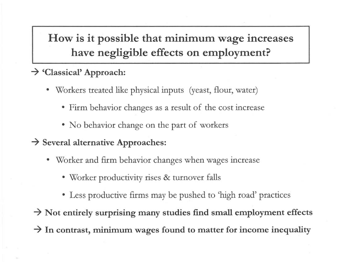How is it possible that minimum wage increases have negligible effects on employment?

### $\rightarrow$  'Classical' Approach:

- Workers treated like physical inputs (yeast, flour, water)
	- Firm behavior changes as a result of the cost increase
	- No behavior change on the part of workers

### $\rightarrow$  Several alternative Approaches:

- Worker and firm behavior changes when wages increase
	- Worker productivity rises & turnover falls
	- Less productive firms may be pushed to 'high road' practices

 $\rightarrow$  Not entirely surprising many studies find small employment effects  $\rightarrow$  In contrast, minimum wages found to matter for income inequality